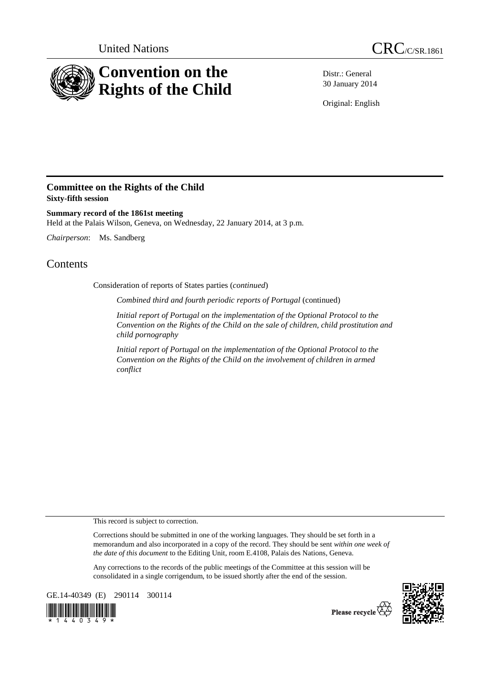

Distr.: General 30 January 2014

Original: English

## **Committee on the Rights of the Child Sixty-fifth session**

**Summary record of the 1861st meeting**  Held at the Palais Wilson, Geneva, on Wednesday, 22 January 2014, at 3 p.m.

*Chairperson*: Ms. Sandberg

## **Contents**

Consideration of reports of States parties (*continued*)

*Combined third and fourth periodic reports of Portugal* (continued)

*Initial report of Portugal on the implementation of the Optional Protocol to the Convention on the Rights of the Child on the sale of children, child prostitution and child pornography* 

*Initial report of Portugal on the implementation of the Optional Protocol to the Convention on the Rights of the Child on the involvement of children in armed conflict* 

This record is subject to correction.

Corrections should be submitted in one of the working languages. They should be set forth in a memorandum and also incorporated in a copy of the record. They should be sent *within one week of the date of this document* to the Editing Unit, room E.4108, Palais des Nations, Geneva.

Any corrections to the records of the public meetings of the Committee at this session will be consolidated in a single corrigendum, to be issued shortly after the end of the session.

GE.14-40349 (E) 290114 300114





Please recycle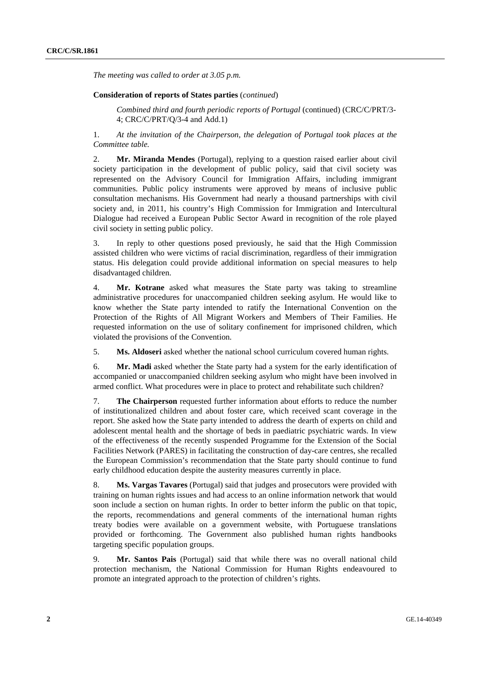*The meeting was called to order at 3.05 p.m.* 

## **Consideration of reports of States parties** (*continued*)

*Combined third and fourth periodic reports of Portugal* (continued) (CRC/C/PRT/3- 4; CRC/C/PRT/Q/3-4 and Add.1)

1. *At the invitation of the Chairperson, the delegation of Portugal took places at the Committee table.* 

2. **Mr. Miranda Mendes** (Portugal), replying to a question raised earlier about civil society participation in the development of public policy, said that civil society was represented on the Advisory Council for Immigration Affairs, including immigrant communities. Public policy instruments were approved by means of inclusive public consultation mechanisms. His Government had nearly a thousand partnerships with civil society and, in 2011, his country's High Commission for Immigration and Intercultural Dialogue had received a European Public Sector Award in recognition of the role played civil society in setting public policy.

3. In reply to other questions posed previously, he said that the High Commission assisted children who were victims of racial discrimination, regardless of their immigration status. His delegation could provide additional information on special measures to help disadvantaged children.

4. **Mr. Kotrane** asked what measures the State party was taking to streamline administrative procedures for unaccompanied children seeking asylum. He would like to know whether the State party intended to ratify the International Convention on the Protection of the Rights of All Migrant Workers and Members of Their Families. He requested information on the use of solitary confinement for imprisoned children, which violated the provisions of the Convention.

5. **Ms. Aldoseri** asked whether the national school curriculum covered human rights.

6. **Mr. Madi** asked whether the State party had a system for the early identification of accompanied or unaccompanied children seeking asylum who might have been involved in armed conflict. What procedures were in place to protect and rehabilitate such children?

7. **The Chairperson** requested further information about efforts to reduce the number of institutionalized children and about foster care, which received scant coverage in the report. She asked how the State party intended to address the dearth of experts on child and adolescent mental health and the shortage of beds in paediatric psychiatric wards. In view of the effectiveness of the recently suspended Programme for the Extension of the Social Facilities Network (PARES) in facilitating the construction of day-care centres, she recalled the European Commission's recommendation that the State party should continue to fund early childhood education despite the austerity measures currently in place.

8. **Ms. Vargas Tavares** (Portugal) said that judges and prosecutors were provided with training on human rights issues and had access to an online information network that would soon include a section on human rights. In order to better inform the public on that topic, the reports, recommendations and general comments of the international human rights treaty bodies were available on a government website, with Portuguese translations provided or forthcoming. The Government also published human rights handbooks targeting specific population groups.

9. **Mr. Santos Pais** (Portugal) said that while there was no overall national child protection mechanism, the National Commission for Human Rights endeavoured to promote an integrated approach to the protection of children's rights.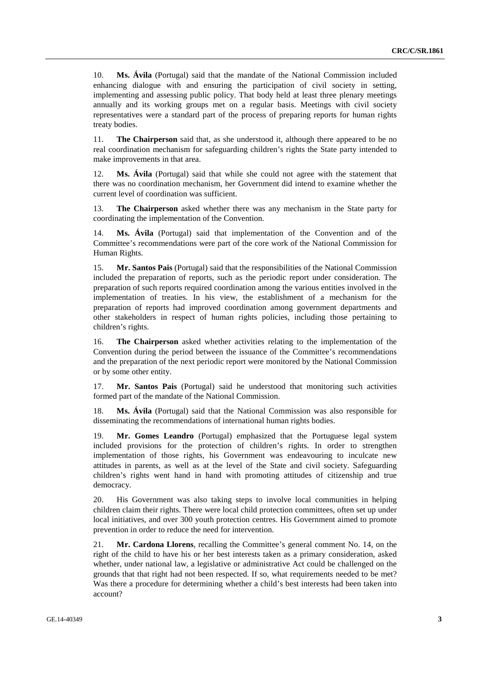10. **Ms. Ávila** (Portugal) said that the mandate of the National Commission included enhancing dialogue with and ensuring the participation of civil society in setting, implementing and assessing public policy. That body held at least three plenary meetings annually and its working groups met on a regular basis. Meetings with civil society representatives were a standard part of the process of preparing reports for human rights treaty bodies.

11. **The Chairperson** said that, as she understood it, although there appeared to be no real coordination mechanism for safeguarding children's rights the State party intended to make improvements in that area.

12. **Ms. Ávila** (Portugal) said that while she could not agree with the statement that there was no coordination mechanism, her Government did intend to examine whether the current level of coordination was sufficient.

13. **The Chairperson** asked whether there was any mechanism in the State party for coordinating the implementation of the Convention.

14. **Ms. Ávila** (Portugal) said that implementation of the Convention and of the Committee's recommendations were part of the core work of the National Commission for Human Rights.

15. **Mr. Santos Pais** (Portugal) said that the responsibilities of the National Commission included the preparation of reports, such as the periodic report under consideration. The preparation of such reports required coordination among the various entities involved in the implementation of treaties. In his view, the establishment of a mechanism for the preparation of reports had improved coordination among government departments and other stakeholders in respect of human rights policies, including those pertaining to children's rights.

16. **The Chairperson** asked whether activities relating to the implementation of the Convention during the period between the issuance of the Committee's recommendations and the preparation of the next periodic report were monitored by the National Commission or by some other entity.

17. **Mr. Santos Pais** (Portugal) said he understood that monitoring such activities formed part of the mandate of the National Commission.

18. **Ms. Ávila** (Portugal) said that the National Commission was also responsible for disseminating the recommendations of international human rights bodies.

19. **Mr. Gomes Leandro** (Portugal) emphasized that the Portuguese legal system included provisions for the protection of children's rights. In order to strengthen implementation of those rights, his Government was endeavouring to inculcate new attitudes in parents, as well as at the level of the State and civil society. Safeguarding children's rights went hand in hand with promoting attitudes of citizenship and true democracy.

20. His Government was also taking steps to involve local communities in helping children claim their rights. There were local child protection committees, often set up under local initiatives, and over 300 youth protection centres. His Government aimed to promote prevention in order to reduce the need for intervention.

21. **Mr. Cardona Llorens**, recalling the Committee's general comment No. 14, on the right of the child to have his or her best interests taken as a primary consideration, asked whether, under national law, a legislative or administrative Act could be challenged on the grounds that that right had not been respected. If so, what requirements needed to be met? Was there a procedure for determining whether a child's best interests had been taken into account?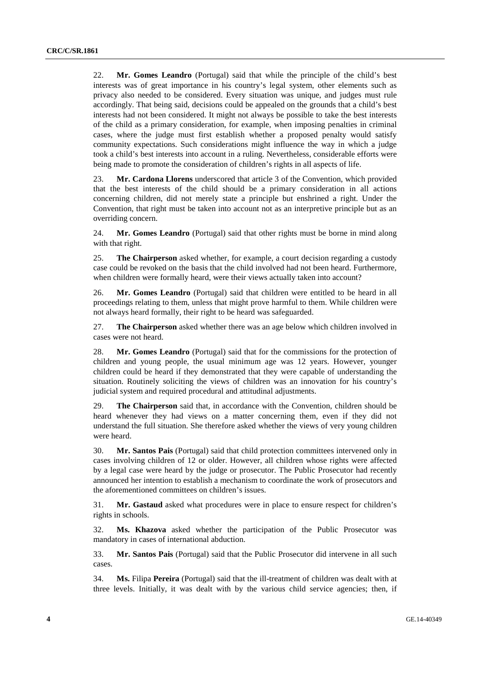22. **Mr. Gomes Leandro** (Portugal) said that while the principle of the child's best interests was of great importance in his country's legal system, other elements such as privacy also needed to be considered. Every situation was unique, and judges must rule accordingly. That being said, decisions could be appealed on the grounds that a child's best interests had not been considered. It might not always be possible to take the best interests of the child as a primary consideration, for example, when imposing penalties in criminal cases, where the judge must first establish whether a proposed penalty would satisfy community expectations. Such considerations might influence the way in which a judge took a child's best interests into account in a ruling. Nevertheless, considerable efforts were being made to promote the consideration of children's rights in all aspects of life.

23. **Mr. Cardona Llorens** underscored that article 3 of the Convention, which provided that the best interests of the child should be a primary consideration in all actions concerning children, did not merely state a principle but enshrined a right. Under the Convention, that right must be taken into account not as an interpretive principle but as an overriding concern.

24. **Mr. Gomes Leandro** (Portugal) said that other rights must be borne in mind along with that right.

25. **The Chairperson** asked whether, for example, a court decision regarding a custody case could be revoked on the basis that the child involved had not been heard. Furthermore, when children were formally heard, were their views actually taken into account?

26. **Mr. Gomes Leandro** (Portugal) said that children were entitled to be heard in all proceedings relating to them, unless that might prove harmful to them. While children were not always heard formally, their right to be heard was safeguarded.

27. **The Chairperson** asked whether there was an age below which children involved in cases were not heard.

28. **Mr. Gomes Leandro** (Portugal) said that for the commissions for the protection of children and young people, the usual minimum age was 12 years. However, younger children could be heard if they demonstrated that they were capable of understanding the situation. Routinely soliciting the views of children was an innovation for his country's judicial system and required procedural and attitudinal adjustments.

29. **The Chairperson** said that, in accordance with the Convention, children should be heard whenever they had views on a matter concerning them, even if they did not understand the full situation. She therefore asked whether the views of very young children were heard.

30. **Mr. Santos Pais** (Portugal) said that child protection committees intervened only in cases involving children of 12 or older. However, all children whose rights were affected by a legal case were heard by the judge or prosecutor. The Public Prosecutor had recently announced her intention to establish a mechanism to coordinate the work of prosecutors and the aforementioned committees on children's issues.

31. **Mr. Gastaud** asked what procedures were in place to ensure respect for children's rights in schools.

32. **Ms. Khazova** asked whether the participation of the Public Prosecutor was mandatory in cases of international abduction.

33. **Mr. Santos Pais** (Portugal) said that the Public Prosecutor did intervene in all such cases.

34. **Ms.** Filipa **Pereira** (Portugal) said that the ill-treatment of children was dealt with at three levels. Initially, it was dealt with by the various child service agencies; then, if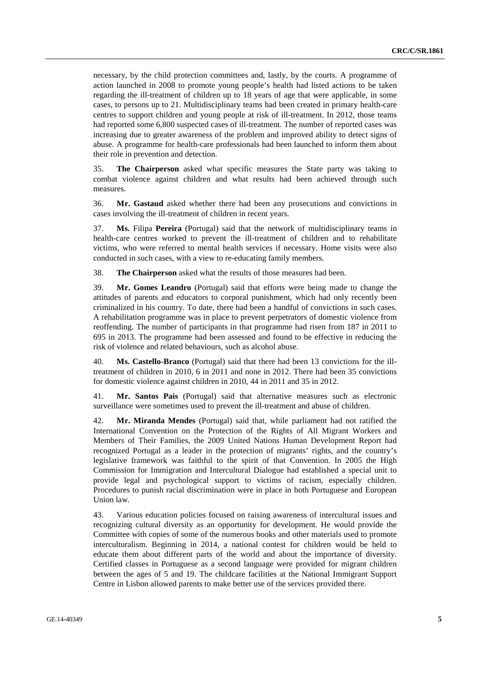necessary, by the child protection committees and, lastly, by the courts. A programme of action launched in 2008 to promote young people's health had listed actions to be taken regarding the ill-treatment of children up to 18 years of age that were applicable, in some cases, to persons up to 21. Multidisciplinary teams had been created in primary health-care centres to support children and young people at risk of ill-treatment. In 2012, those teams had reported some 6,800 suspected cases of ill-treatment. The number of reported cases was increasing due to greater awareness of the problem and improved ability to detect signs of abuse. A programme for health-care professionals had been launched to inform them about their role in prevention and detection.

35. **The Chairperson** asked what specific measures the State party was taking to combat violence against children and what results had been achieved through such measures.

36. **Mr. Gastaud** asked whether there had been any prosecutions and convictions in cases involving the ill-treatment of children in recent years.

37. **Ms.** Filipa **Pereira** (Portugal) said that the network of multidisciplinary teams in health-care centres worked to prevent the ill-treatment of children and to rehabilitate victims, who were referred to mental health services if necessary. Home visits were also conducted in such cases, with a view to re-educating family members.

38. **The Chairperson** asked what the results of those measures had been.

39. **Mr. Gomes Leandro** (Portugal) said that efforts were being made to change the attitudes of parents and educators to corporal punishment, which had only recently been criminalized in his country. To date, there had been a handful of convictions in such cases. A rehabilitation programme was in place to prevent perpetrators of domestic violence from reoffending. The number of participants in that programme had risen from 187 in 2011 to 695 in 2013. The programme had been assessed and found to be effective in reducing the risk of violence and related behaviours, such as alcohol abuse.

40. **Ms. Castello-Branco** (Portugal) said that there had been 13 convictions for the illtreatment of children in 2010, 6 in 2011 and none in 2012. There had been 35 convictions for domestic violence against children in 2010, 44 in 2011 and 35 in 2012.

41. **Mr. Santos Pais** (Portugal) said that alternative measures such as electronic surveillance were sometimes used to prevent the ill-treatment and abuse of children.

42. **Mr. Miranda Mendes** (Portugal) said that, while parliament had not ratified the International Convention on the Protection of the Rights of All Migrant Workers and Members of Their Families, the 2009 United Nations Human Development Report had recognized Portugal as a leader in the protection of migrants' rights, and the country's legislative framework was faithful to the spirit of that Convention. In 2005 the High Commission for Immigration and Intercultural Dialogue had established a special unit to provide legal and psychological support to victims of racism, especially children. Procedures to punish racial discrimination were in place in both Portuguese and European Union law.

43. Various education policies focused on raising awareness of intercultural issues and recognizing cultural diversity as an opportunity for development. He would provide the Committee with copies of some of the numerous books and other materials used to promote interculturalism. Beginning in 2014, a national contest for children would be held to educate them about different parts of the world and about the importance of diversity. Certified classes in Portuguese as a second language were provided for migrant children between the ages of 5 and 19. The childcare facilities at the National Immigrant Support Centre in Lisbon allowed parents to make better use of the services provided there.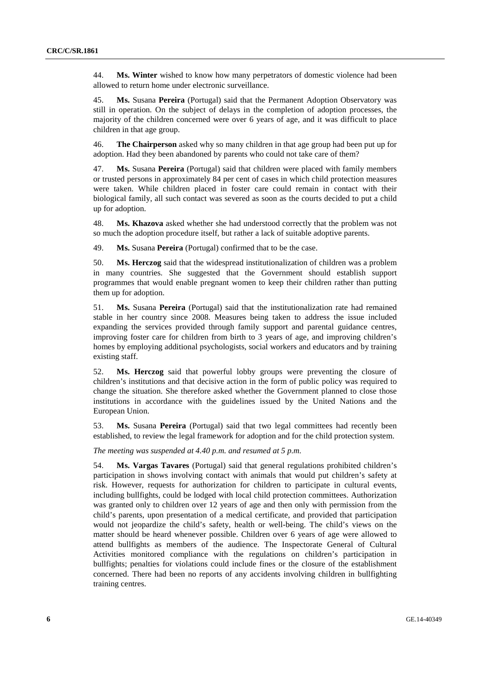44. **Ms. Winter** wished to know how many perpetrators of domestic violence had been allowed to return home under electronic surveillance.

45. **Ms.** Susana **Pereira** (Portugal) said that the Permanent Adoption Observatory was still in operation. On the subject of delays in the completion of adoption processes, the majority of the children concerned were over 6 years of age, and it was difficult to place children in that age group.

46. **The Chairperson** asked why so many children in that age group had been put up for adoption. Had they been abandoned by parents who could not take care of them?

47. **Ms.** Susana **Pereira** (Portugal) said that children were placed with family members or trusted persons in approximately 84 per cent of cases in which child protection measures were taken. While children placed in foster care could remain in contact with their biological family, all such contact was severed as soon as the courts decided to put a child up for adoption.

48. **Ms. Khazova** asked whether she had understood correctly that the problem was not so much the adoption procedure itself, but rather a lack of suitable adoptive parents.

49. **Ms.** Susana **Pereira** (Portugal) confirmed that to be the case.

50. **Ms. Herczog** said that the widespread institutionalization of children was a problem in many countries. She suggested that the Government should establish support programmes that would enable pregnant women to keep their children rather than putting them up for adoption.

51. **Ms.** Susana **Pereira** (Portugal) said that the institutionalization rate had remained stable in her country since 2008. Measures being taken to address the issue included expanding the services provided through family support and parental guidance centres, improving foster care for children from birth to 3 years of age, and improving children's homes by employing additional psychologists, social workers and educators and by training existing staff.

52. **Ms. Herczog** said that powerful lobby groups were preventing the closure of children's institutions and that decisive action in the form of public policy was required to change the situation. She therefore asked whether the Government planned to close those institutions in accordance with the guidelines issued by the United Nations and the European Union.

53. **Ms.** Susana **Pereira** (Portugal) said that two legal committees had recently been established, to review the legal framework for adoption and for the child protection system.

*The meeting was suspended at 4.40 p.m. and resumed at 5 p.m.* 

54. **Ms. Vargas Tavares** (Portugal) said that general regulations prohibited children's participation in shows involving contact with animals that would put children's safety at risk. However, requests for authorization for children to participate in cultural events, including bullfights, could be lodged with local child protection committees. Authorization was granted only to children over 12 years of age and then only with permission from the child's parents, upon presentation of a medical certificate, and provided that participation would not jeopardize the child's safety, health or well-being. The child's views on the matter should be heard whenever possible. Children over 6 years of age were allowed to attend bullfights as members of the audience. The Inspectorate General of Cultural Activities monitored compliance with the regulations on children's participation in bullfights; penalties for violations could include fines or the closure of the establishment concerned. There had been no reports of any accidents involving children in bullfighting training centres.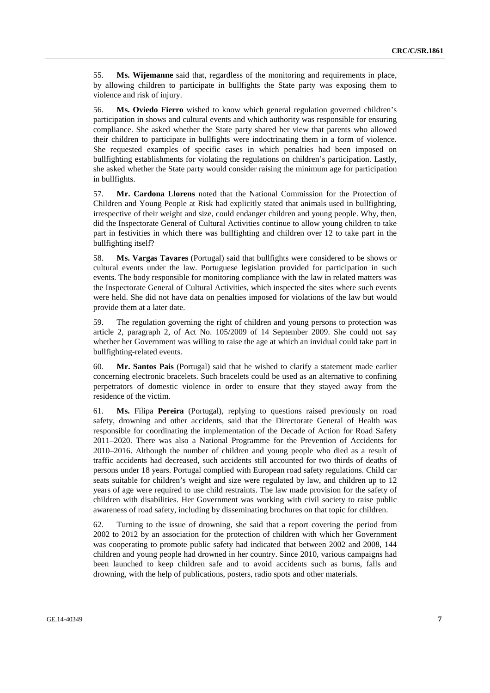55. **Ms. Wijemanne** said that, regardless of the monitoring and requirements in place, by allowing children to participate in bullfights the State party was exposing them to violence and risk of injury.

56. **Ms. Oviedo Fierro** wished to know which general regulation governed children's participation in shows and cultural events and which authority was responsible for ensuring compliance. She asked whether the State party shared her view that parents who allowed their children to participate in bullfights were indoctrinating them in a form of violence. She requested examples of specific cases in which penalties had been imposed on bullfighting establishments for violating the regulations on children's participation. Lastly, she asked whether the State party would consider raising the minimum age for participation in bullfights.

57. **Mr. Cardona Llorens** noted that the National Commission for the Protection of Children and Young People at Risk had explicitly stated that animals used in bullfighting, irrespective of their weight and size, could endanger children and young people. Why, then, did the Inspectorate General of Cultural Activities continue to allow young children to take part in festivities in which there was bullfighting and children over 12 to take part in the bullfighting itself?

58. **Ms. Vargas Tavares** (Portugal) said that bullfights were considered to be shows or cultural events under the law. Portuguese legislation provided for participation in such events. The body responsible for monitoring compliance with the law in related matters was the Inspectorate General of Cultural Activities, which inspected the sites where such events were held. She did not have data on penalties imposed for violations of the law but would provide them at a later date.

59. The regulation governing the right of children and young persons to protection was article 2, paragraph 2, of Act No. 105/2009 of 14 September 2009. She could not say whether her Government was willing to raise the age at which an invidual could take part in bullfighting-related events.

60. **Mr. Santos Pais** (Portugal) said that he wished to clarify a statement made earlier concerning electronic bracelets. Such bracelets could be used as an alternative to confining perpetrators of domestic violence in order to ensure that they stayed away from the residence of the victim.

61. **Ms.** Filipa **Pereira** (Portugal), replying to questions raised previously on road safety, drowning and other accidents, said that the Directorate General of Health was responsible for coordinating the implementation of the Decade of Action for Road Safety 2011–2020. There was also a National Programme for the Prevention of Accidents for 2010–2016. Although the number of children and young people who died as a result of traffic accidents had decreased, such accidents still accounted for two thirds of deaths of persons under 18 years. Portugal complied with European road safety regulations. Child car seats suitable for children's weight and size were regulated by law, and children up to 12 years of age were required to use child restraints. The law made provision for the safety of children with disabilities. Her Government was working with civil society to raise public awareness of road safety, including by disseminating brochures on that topic for children.

62. Turning to the issue of drowning, she said that a report covering the period from 2002 to 2012 by an association for the protection of children with which her Government was cooperating to promote public safety had indicated that between 2002 and 2008, 144 children and young people had drowned in her country. Since 2010, various campaigns had been launched to keep children safe and to avoid accidents such as burns, falls and drowning, with the help of publications, posters, radio spots and other materials.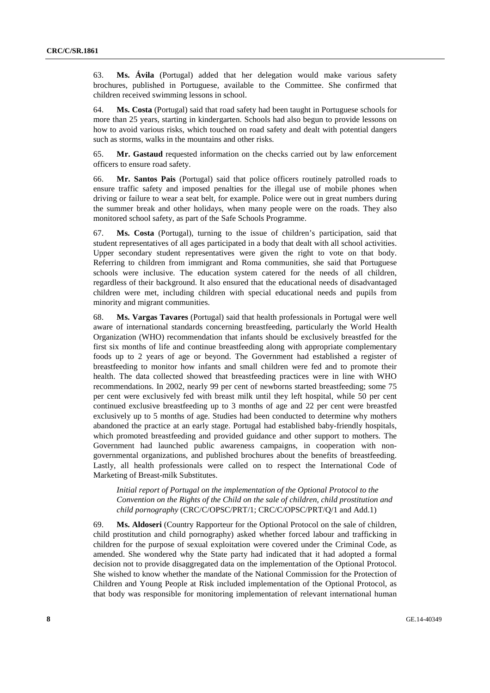63. **Ms. Ávila** (Portugal) added that her delegation would make various safety brochures, published in Portuguese, available to the Committee. She confirmed that children received swimming lessons in school.

64. **Ms. Costa** (Portugal) said that road safety had been taught in Portuguese schools for more than 25 years, starting in kindergarten. Schools had also begun to provide lessons on how to avoid various risks, which touched on road safety and dealt with potential dangers such as storms, walks in the mountains and other risks.

65. **Mr. Gastaud** requested information on the checks carried out by law enforcement officers to ensure road safety.

66. **Mr. Santos Pais** (Portugal) said that police officers routinely patrolled roads to ensure traffic safety and imposed penalties for the illegal use of mobile phones when driving or failure to wear a seat belt, for example. Police were out in great numbers during the summer break and other holidays, when many people were on the roads. They also monitored school safety, as part of the Safe Schools Programme.

67. **Ms. Costa** (Portugal), turning to the issue of children's participation, said that student representatives of all ages participated in a body that dealt with all school activities. Upper secondary student representatives were given the right to vote on that body. Referring to children from immigrant and Roma communities, she said that Portuguese schools were inclusive. The education system catered for the needs of all children, regardless of their background. It also ensured that the educational needs of disadvantaged children were met, including children with special educational needs and pupils from minority and migrant communities.

68. **Ms. Vargas Tavares** (Portugal) said that health professionals in Portugal were well aware of international standards concerning breastfeeding, particularly the World Health Organization (WHO) recommendation that infants should be exclusively breastfed for the first six months of life and continue breastfeeding along with appropriate complementary foods up to 2 years of age or beyond. The Government had established a register of breastfeeding to monitor how infants and small children were fed and to promote their health. The data collected showed that breastfeeding practices were in line with WHO recommendations. In 2002, nearly 99 per cent of newborns started breastfeeding; some 75 per cent were exclusively fed with breast milk until they left hospital, while 50 per cent continued exclusive breastfeeding up to 3 months of age and 22 per cent were breastfed exclusively up to 5 months of age. Studies had been conducted to determine why mothers abandoned the practice at an early stage. Portugal had established baby-friendly hospitals, which promoted breastfeeding and provided guidance and other support to mothers. The Government had launched public awareness campaigns, in cooperation with nongovernmental organizations, and published brochures about the benefits of breastfeeding. Lastly, all health professionals were called on to respect the International Code of Marketing of Breast-milk Substitutes.

*Initial report of Portugal on the implementation of the Optional Protocol to the Convention on the Rights of the Child on the sale of children, child prostitution and child pornography* (CRC/C/OPSC/PRT/1; CRC/C/OPSC/PRT/Q/1 and Add.1)

69. **Ms. Aldoseri** (Country Rapporteur for the Optional Protocol on the sale of children, child prostitution and child pornography) asked whether forced labour and trafficking in children for the purpose of sexual exploitation were covered under the Criminal Code, as amended. She wondered why the State party had indicated that it had adopted a formal decision not to provide disaggregated data on the implementation of the Optional Protocol. She wished to know whether the mandate of the National Commission for the Protection of Children and Young People at Risk included implementation of the Optional Protocol, as that body was responsible for monitoring implementation of relevant international human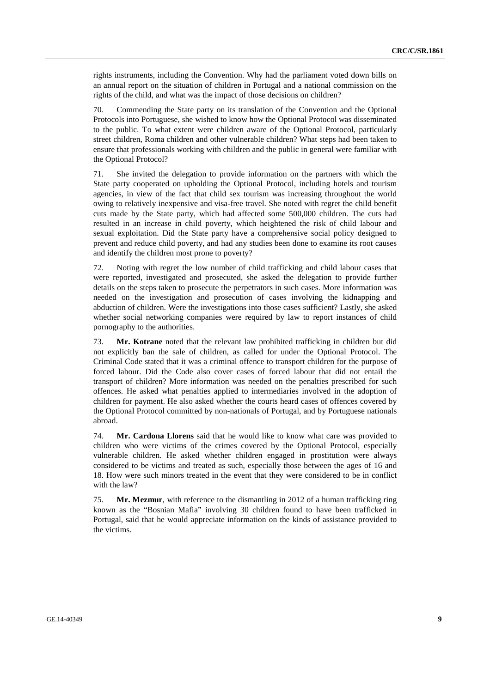rights instruments, including the Convention. Why had the parliament voted down bills on an annual report on the situation of children in Portugal and a national commission on the rights of the child, and what was the impact of those decisions on children?

70. Commending the State party on its translation of the Convention and the Optional Protocols into Portuguese, she wished to know how the Optional Protocol was disseminated to the public. To what extent were children aware of the Optional Protocol, particularly street children, Roma children and other vulnerable children? What steps had been taken to ensure that professionals working with children and the public in general were familiar with the Optional Protocol?

71. She invited the delegation to provide information on the partners with which the State party cooperated on upholding the Optional Protocol, including hotels and tourism agencies, in view of the fact that child sex tourism was increasing throughout the world owing to relatively inexpensive and visa-free travel. She noted with regret the child benefit cuts made by the State party, which had affected some 500,000 children. The cuts had resulted in an increase in child poverty, which heightened the risk of child labour and sexual exploitation. Did the State party have a comprehensive social policy designed to prevent and reduce child poverty, and had any studies been done to examine its root causes and identify the children most prone to poverty?

72. Noting with regret the low number of child trafficking and child labour cases that were reported, investigated and prosecuted, she asked the delegation to provide further details on the steps taken to prosecute the perpetrators in such cases. More information was needed on the investigation and prosecution of cases involving the kidnapping and abduction of children. Were the investigations into those cases sufficient? Lastly, she asked whether social networking companies were required by law to report instances of child pornography to the authorities.

73. **Mr. Kotrane** noted that the relevant law prohibited trafficking in children but did not explicitly ban the sale of children, as called for under the Optional Protocol. The Criminal Code stated that it was a criminal offence to transport children for the purpose of forced labour. Did the Code also cover cases of forced labour that did not entail the transport of children? More information was needed on the penalties prescribed for such offences. He asked what penalties applied to intermediaries involved in the adoption of children for payment. He also asked whether the courts heard cases of offences covered by the Optional Protocol committed by non-nationals of Portugal, and by Portuguese nationals abroad.

74. **Mr. Cardona Llorens** said that he would like to know what care was provided to children who were victims of the crimes covered by the Optional Protocol, especially vulnerable children. He asked whether children engaged in prostitution were always considered to be victims and treated as such, especially those between the ages of 16 and 18. How were such minors treated in the event that they were considered to be in conflict with the law?

75. **Mr. Mezmur**, with reference to the dismantling in 2012 of a human trafficking ring known as the "Bosnian Mafia" involving 30 children found to have been trafficked in Portugal, said that he would appreciate information on the kinds of assistance provided to the victims.